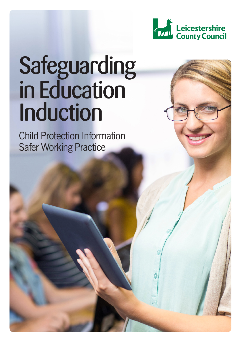

# **Safeguarding** in Education Induction

Child Protection Information Safer Working Practice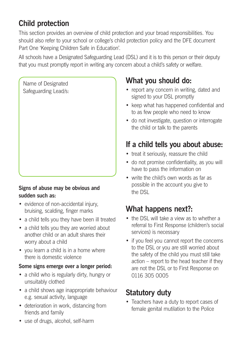# **Child protection**

This section provides an overview of child protection and your broad responsibilities. You should also refer to your school or college's child protection policy and the DFE document Part One 'Keeping Children Safe in Education'.

All schools have a Designated Safeguarding Lead (DSL) and it is to this person or their deputy that you must promptly report in writing any concern about a child's safety or welfare.

Name of Designated Safeguarding Lead/s:

#### **Signs of abuse may be obvious and sudden such as:**

- evidence of non-accidental injury, bruising, scalding, finger marks
- a child tells you they have been ill treated
- a child tells you they are worried about another child or an adult shares their worry about a child
- you learn a child is in a home where there is domestic violence

#### **Some signs emerge over a longer period:**

- a child who is regularly dirty, hungry or unsuitably clothed
- a child shows age inappropriate behaviour e.g. sexual activity, language
- deterioration in work, distancing from friends and family

# **What you should do:**

- report any concern in writing, dated and signed to your DSL promptly
- keep what has happened confidential and to as few people who need to know
- do not investigate, question or interrogate the child or talk to the parents

## **If a child tells you about abuse:**

- treat it seriously, reassure the child
- do not promise confidentiality, as you will have to pass the information on
- write the child's own words as far as possible in the account you give to the DSL

# **What happens next?:**

- the DSL will take a view as to whether a referral to First Response (children's social services) is necessary
- if you feel you cannot report the concerns to the DSL or you are still worried about the safety of the child you must still take action – report to the head teacher if they are not the DSL or to First Response on 0116 305 0005

# **Statutory duty**

- Teachers have a duty to report cases of female genital mutilation to the Police
- use of drugs, alcohol, self-harm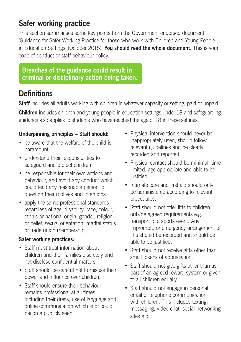## **Safer working practice**

This section summarises some key points from the Government endorsed document 'Guidance for Safer Working Practice for those who work with Children and Young People in Education Settings' (October 2015). **You should read the whole document.** This is your code of conduct or staff behaviour policy.

#### **Breaches of the guidance could result in criminal or disciplinary action being taken.**

## **Definitions**

**Staff** includes all adults working with children in whatever capacity or setting, paid or unpaid.

**Children** includes children and young people in education settings under 18 and safeguarding guidance also applies to students who have reached the age of 18 in these settings.

#### **Underpinning principles – Staff should:**

- be aware that the welfare of the child is paramount
- • understand their responsibilities to safeguard and protect children
- be responsible for their own actions and behaviour, and avoid any conduct which could lead any reasonable person to question their motives and intentions
- apply the same professional standards regardless of age, disability, race, colour, ethnic or national origin, gender, religion or belief, sexual orientation, marital status or trade union membership

#### **Safer working practices:**

- Staff must treat information about children and their families discretely and not disclose confidential matters.
- Staff should be careful not to misuse their power and influence over children.
- Staff should ensure their behaviour remains professional at all times, including their dress, use of language and online communication which is or could become publicly seen.
- Physical intervention should never be inappropriately used, should follow relevant guidelines and be clearly recorded and reported.
- Physical contact should be minimal, time limited, age appropriate and able to be justified.
- Intimate care and first aid should only be administered according to relevant procedures.
- Staff should not offer lifts to children outside agreed requirements e.g. transport to a sports event. Any impromptu or emergency arrangement of lifts should be recorded and should be able to be justified.
- Staff should not receive gifts other than small tokens of appreciation.
- Staff should not give gifts other than as part of an agreed reward system or given to all children equally.
- Staff should not engage in personal email or telephone communication with children. This includes texting. messaging, video chat, social networking sites etc.